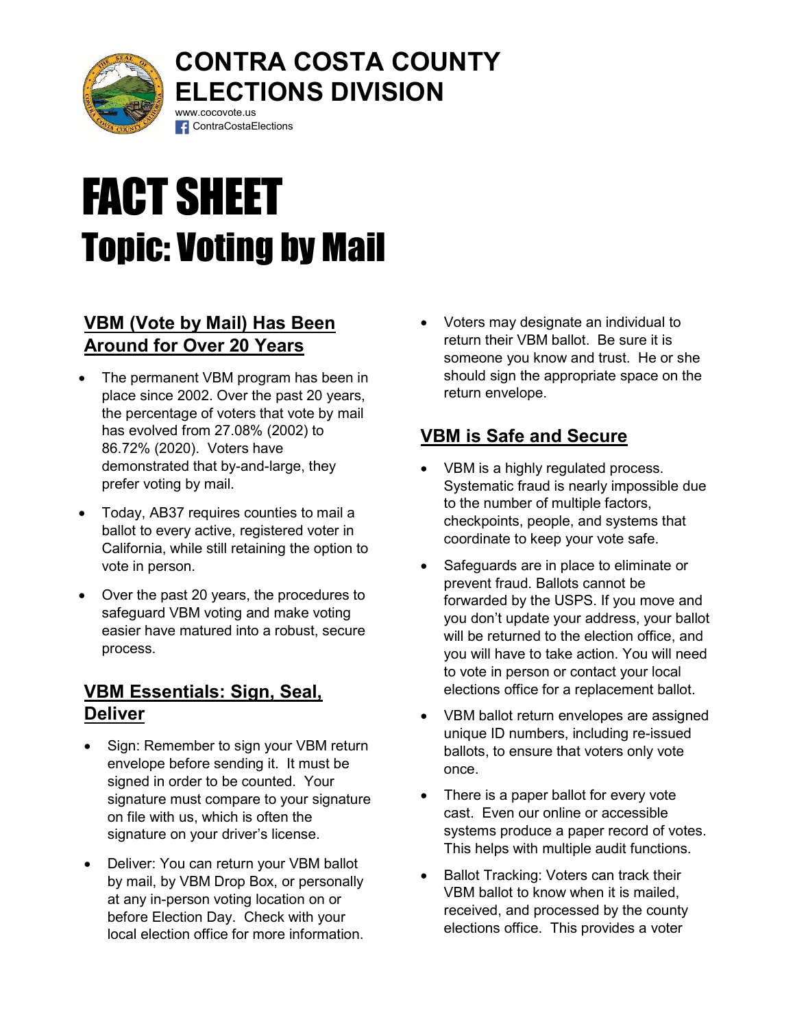

# CONTRA COSTA COUNTY ELECTIONS DIVISION www.cocovote.us

# FACT SHEET Topic: Voting by Mail

**f** ContraCostaElections

## VBM (Vote by Mail) Has Been Around for Over 20 Years

- The permanent VBM program has been in place since 2002. Over the past 20 years, the percentage of voters that vote by mail has evolved from 27.08% (2002) to 86.72% (2020). Voters have demonstrated that by-and-large, they prefer voting by mail.
- Today, AB37 requires counties to mail a ballot to every active, registered voter in California, while still retaining the option to vote in person.
- Over the past 20 years, the procedures to safeguard VBM voting and make voting easier have matured into a robust, secure process.

#### VBM Essentials: Sign, Seal, **Deliver**

- Sign: Remember to sign your VBM return envelope before sending it. It must be signed in order to be counted. Your signature must compare to your signature on file with us, which is often the signature on your driver's license.
- Deliver: You can return your VBM ballot by mail, by VBM Drop Box, or personally at any in-person voting location on or before Election Day. Check with your local election office for more information.

 Voters may designate an individual to return their VBM ballot. Be sure it is someone you know and trust. He or she should sign the appropriate space on the return envelope.

# VBM is Safe and Secure

- VBM is a highly regulated process. Systematic fraud is nearly impossible due to the number of multiple factors, checkpoints, people, and systems that coordinate to keep your vote safe.
- Safeguards are in place to eliminate or prevent fraud. Ballots cannot be forwarded by the USPS. If you move and you don't update your address, your ballot will be returned to the election office, and you will have to take action. You will need to vote in person or contact your local elections office for a replacement ballot.
- VBM ballot return envelopes are assigned unique ID numbers, including re-issued ballots, to ensure that voters only vote once.
- There is a paper ballot for every vote cast. Even our online or accessible systems produce a paper record of votes. This helps with multiple audit functions.
- Ballot Tracking: Voters can track their VBM ballot to know when it is mailed, received, and processed by the county elections office. This provides a voter